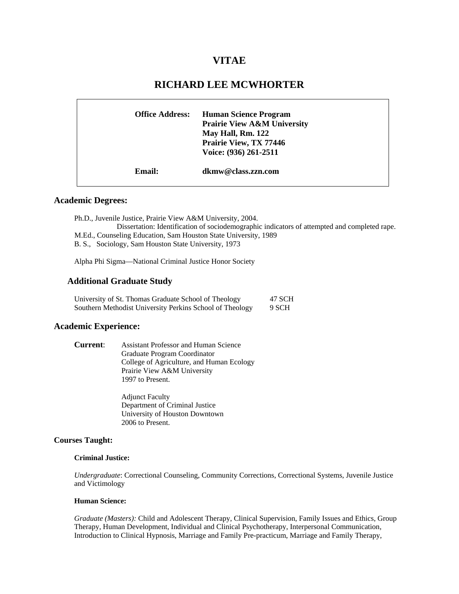# **VITAE**

# **RICHARD LEE MCWHORTER**

| <b>Office Address:</b> | <b>Human Science Program</b><br><b>Prairie View A&amp;M University</b><br>May Hall, Rm. 122<br>Prairie View, TX 77446<br>Voice: (936) 261-2511 |
|------------------------|------------------------------------------------------------------------------------------------------------------------------------------------|
| Email:                 | dkmw@class.zzn.com                                                                                                                             |

## **Academic Degrees:**

Ph.D., Juvenile Justice, Prairie View A&M University, 2004.

Dissertation: Identification of sociodemographic indicators of attempted and completed rape.

M.Ed., Counseling Education, Sam Houston State University, 1989

B. S., Sociology, Sam Houston State University, 1973

Alpha Phi Sigma—National Criminal Justice Honor Society

## **Additional Graduate Study**

| University of St. Thomas Graduate School of Theology     |       |
|----------------------------------------------------------|-------|
| Southern Methodist University Perkins School of Theology | 9 SCH |

## **Academic Experience:**

| <b>Current:</b> | <b>Assistant Professor and Human Science</b> |
|-----------------|----------------------------------------------|
|                 | Graduate Program Coordinator                 |
|                 | College of Agriculture, and Human Ecology    |
|                 | Prairie View A&M University                  |
|                 | 1997 to Present.                             |

 Adjunct Faculty Department of Criminal Justice University of Houston Downtown 2006 to Present.

## **Courses Taught:**

## **Criminal Justice:**

*Undergraduate*: Correctional Counseling, Community Corrections, Correctional Systems, Juvenile Justice and Victimology

#### **Human Science:**

*Graduate (Masters):* Child and Adolescent Therapy, Clinical Supervision, Family Issues and Ethics, Group Therapy, Human Development, Individual and Clinical Psychotherapy, Interpersonal Communication, Introduction to Clinical Hypnosis, Marriage and Family Pre-practicum, Marriage and Family Therapy,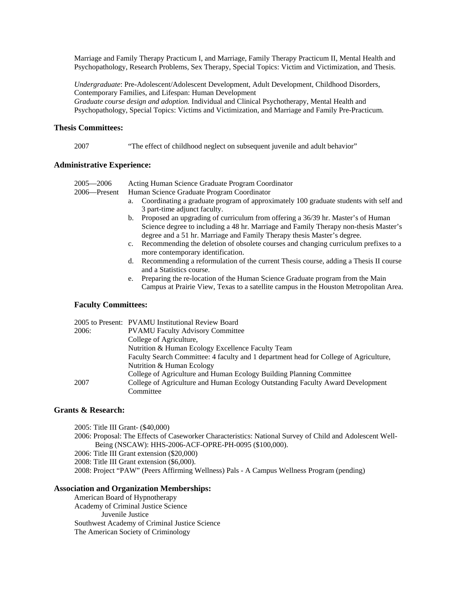Marriage and Family Therapy Practicum I, and Marriage, Family Therapy Practicum II, Mental Health and Psychopathology, Research Problems, Sex Therapy, Special Topics: Victim and Victimization, and Thesis.

*Undergraduate*: Pre-Adolescent/Adolescent Development, Adult Development, Childhood Disorders, Contemporary Families, and Lifespan: Human Development *Graduate course design and adoption.* Individual and Clinical Psychotherapy, Mental Health and Psychopathology, Special Topics: Victims and Victimization, and Marriage and Family Pre-Practicum.

## **Thesis Committees:**

2007 "The effect of childhood neglect on subsequent juvenile and adult behavior"

## **Administrative Experience:**

| Human Science Graduate Program Coordinator<br>2006—Present<br>Coordinating a graduate program of approximately 100 graduate students with self and<br>a.<br>3 part-time adjunct faculty.<br>Proposed an upgrading of curriculum from offering a 36/39 hr. Master's of Human<br>$b_{1}$<br>Science degree to including a 48 hr. Marriage and Family Therapy non-thesis Master's<br>degree and a 51 hr. Marriage and Family Therapy thesis Master's degree.<br>Recommending the deletion of obsolete courses and changing curriculum prefixes to a<br>$c_{\cdot}$<br>more contemporary identification.<br>Recommending a reformulation of the current Thesis course, adding a Thesis II course<br>d.<br>and a Statistics course.<br>Preparing the re-location of the Human Science Graduate program from the Main<br>e. |  |
|-----------------------------------------------------------------------------------------------------------------------------------------------------------------------------------------------------------------------------------------------------------------------------------------------------------------------------------------------------------------------------------------------------------------------------------------------------------------------------------------------------------------------------------------------------------------------------------------------------------------------------------------------------------------------------------------------------------------------------------------------------------------------------------------------------------------------|--|
|                                                                                                                                                                                                                                                                                                                                                                                                                                                                                                                                                                                                                                                                                                                                                                                                                       |  |
|                                                                                                                                                                                                                                                                                                                                                                                                                                                                                                                                                                                                                                                                                                                                                                                                                       |  |
|                                                                                                                                                                                                                                                                                                                                                                                                                                                                                                                                                                                                                                                                                                                                                                                                                       |  |
|                                                                                                                                                                                                                                                                                                                                                                                                                                                                                                                                                                                                                                                                                                                                                                                                                       |  |
|                                                                                                                                                                                                                                                                                                                                                                                                                                                                                                                                                                                                                                                                                                                                                                                                                       |  |
|                                                                                                                                                                                                                                                                                                                                                                                                                                                                                                                                                                                                                                                                                                                                                                                                                       |  |
|                                                                                                                                                                                                                                                                                                                                                                                                                                                                                                                                                                                                                                                                                                                                                                                                                       |  |
|                                                                                                                                                                                                                                                                                                                                                                                                                                                                                                                                                                                                                                                                                                                                                                                                                       |  |
| Campus at Prairie View, Texas to a satellite campus in the Houston Metropolitan Area.                                                                                                                                                                                                                                                                                                                                                                                                                                                                                                                                                                                                                                                                                                                                 |  |

#### **Faculty Committees:**

| Faculty Search Committee: 4 faculty and 1 department head for College of Agriculture, |
|---------------------------------------------------------------------------------------|
|                                                                                       |
|                                                                                       |
| College of Agriculture and Human Ecology Outstanding Faculty Award Development        |
|                                                                                       |

## **Grants & Research:**

2005: Title III Grant- (\$40,000)

- 2006: Proposal: The Effects of Caseworker Characteristics: National Survey of Child and Adolescent Well-Being (NSCAW): HHS-2006-ACF-OPRE-PH-0095 (\$100,000).
- 2006: Title III Grant extension (\$20,000)
- 2008: Title III Grant extension (\$6,000).
- 2008: Project "PAW" (Peers Affirming Wellness) Pals A Campus Wellness Program (pending)

## **Association and Organization Memberships:**

 American Board of Hypnotherapy Academy of Criminal Justice Science Juvenile Justice Southwest Academy of Criminal Justice Science The American Society of Criminology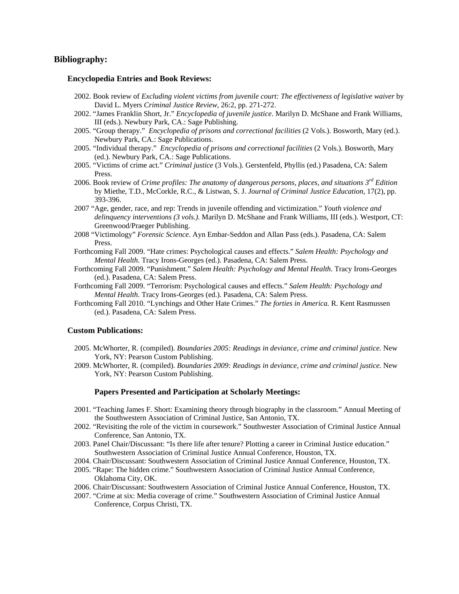## **Bibliography:**

#### **Encyclopedia Entries and Book Reviews:**

- 2002. Book review of *Excluding violent victims from juvenile court: The effectiveness of legislative waiver* by David L. Myers *Criminal Justice Review*, 26:2, pp. 271-272.
- 2002. "James Franklin Short, Jr." *Encyclopedia of juvenile justice*. Marilyn D. McShane and Frank Williams, III (eds.). Newbury Park, CA.: Sage Publishing.
- 2005. "Group therapy." *Encyclopedia of prisons and correctional facilities* (2 Vols.). Bosworth, Mary (ed.). Newbury Park, CA.: Sage Publications.
- 2005. "Individual therapy." *Encyclopedia of prisons and correctional facilities* (2 Vols.). Bosworth, Mary (ed.). Newbury Park, CA.: Sage Publications.
- 2005. "Victims of crime act." *Criminal justice* (3 Vols.). Gerstenfeld, Phyllis (ed.) Pasadena, CA: Salem Press.
- 2006. Book review of *Crime profiles: The anatomy of dangerous persons, places, and situations 3rd Edition* by Miethe, T.D., McCorkle, R.C., & Listwan, S. J. *Journal of Criminal Justice Education,* 17(2), pp. 393-396.
- 2007 "Age, gender, race, and rep: Trends in juvenile offending and victimization." *Youth violence and delinquency interventions (3 vols.)*. Marilyn D. McShane and Frank Williams, III (eds.). Westport, CT: Greenwood/Praeger Publishing.
- 2008 "Victimology" *Forensic Science*. Ayn Embar-Seddon and Allan Pass (eds.). Pasadena, CA: Salem Press.
- Forthcoming Fall 2009. "Hate crimes: Psychological causes and effects." *Salem Health: Psychology and Mental Health*. Tracy Irons-Georges (ed.). Pasadena, CA: Salem Press.
- Forthcoming Fall 2009. "Punishment." *Salem Health: Psychology and Mental Health*. Tracy Irons-Georges (ed.). Pasadena, CA: Salem Press.
- Forthcoming Fall 2009. "Terrorism: Psychological causes and effects." *Salem Health: Psychology and Mental Health*. Tracy Irons-Georges (ed.). Pasadena, CA: Salem Press.
- Forthcoming Fall 2010. "Lynchings and Other Hate Crimes." *The forties in America.* R. Kent Rasmussen (ed.). Pasadena, CA: Salem Press.

#### **Custom Publications:**

- 2005. McWhorter, R. (compiled). *Boundaries 2005: Readings in deviance, crime and criminal justice.* New York, NY: Pearson Custom Publishing.
- 2009. McWhorter, R. (compiled). *Boundaries 2009: Readings in deviance, crime and criminal justice.* New York, NY: Pearson Custom Publishing.

#### **Papers Presented and Participation at Scholarly Meetings:**

- 2001. "Teaching James F. Short: Examining theory through biography in the classroom." Annual Meeting of the Southwestern Association of Criminal Justice, San Antonio, TX.
- 2002. "Revisiting the role of the victim in coursework." Southwester Association of Criminal Justice Annual Conference, San Antonio, TX.
- 2003. Panel Chair/Discussant: "Is there life after tenure? Plotting a career in Criminal Justice education." Southwestern Association of Criminal Justice Annual Conference, Houston, TX.
- 2004. Chair/Discussant: Southwestern Association of Criminal Justice Annual Conference, Houston, TX.
- 2005. "Rape: The hidden crime." Southwestern Association of Criminal Justice Annual Conference, Oklahoma City, OK.
- 2006. Chair/Discussant: Southwestern Association of Criminal Justice Annual Conference, Houston, TX.
- 2007. "Crime at six: Media coverage of crime." Southwestern Association of Criminal Justice Annual Conference, Corpus Christi, TX.